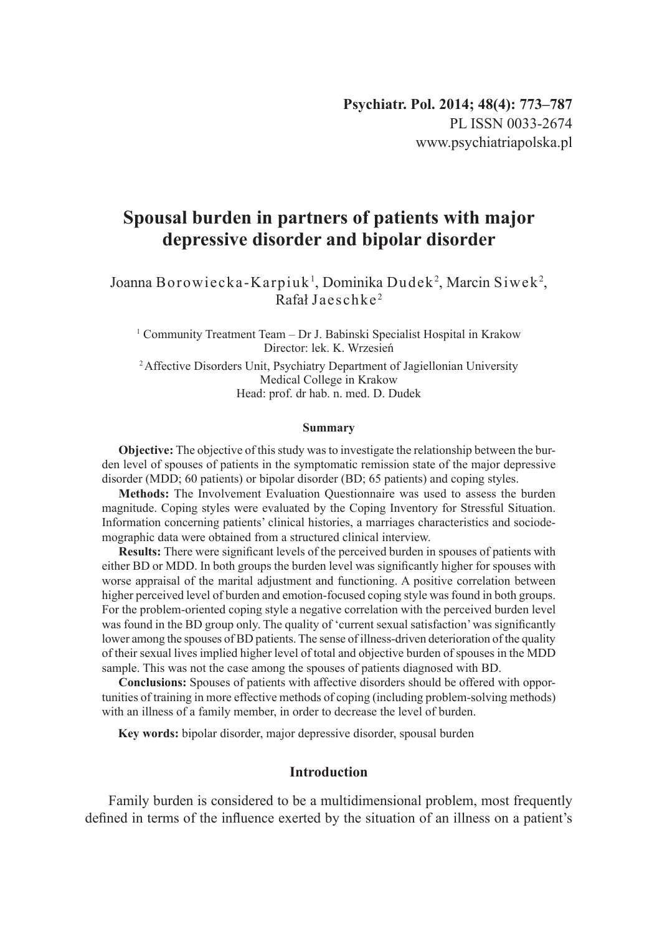# **Spousal burden in partners of patients with major depressive disorder and bipolar disorder**

## Joanna Borowiecka-Karpiuk $^{\scriptscriptstyle 1}$ , Dominika Dudek $^{\scriptscriptstyle 2}$ , Marcin Siwek $^{\scriptscriptstyle 2}$ , Rafał Jaeschke <sup>2</sup>

1 Community Treatment Team – Dr J. Babinski Specialist Hospital in Krakow Director: lek. K. Wrzesień

<sup>2</sup> Affective Disorders Unit, Psychiatry Department of Jagiellonian University Medical College in Krakow Head: prof. dr hab. n. med. D. Dudek

#### **Summary**

**Objective:** The objective of this study was to investigate the relationship between the burden level of spouses of patients in the symptomatic remission state of the major depressive disorder (MDD; 60 patients) or bipolar disorder (BD; 65 patients) and coping styles.

**Methods:** The Involvement Evaluation Questionnaire was used to assess the burden magnitude. Coping styles were evaluated by the Coping Inventory for Stressful Situation. Information concerning patients' clinical histories, a marriages characteristics and sociodemographic data were obtained from a structured clinical interview.

**Results:** There were significant levels of the perceived burden in spouses of patients with either BD or MDD. In both groups the burden level was significantly higher for spouses with worse appraisal of the marital adjustment and functioning. A positive correlation between higher perceived level of burden and emotion-focused coping style was found in both groups. For the problem-oriented coping style a negative correlation with the perceived burden level was found in the BD group only. The quality of 'current sexual satisfaction' was significantly lower among the spouses of BD patients. The sense of illness-driven deterioration of the quality of their sexual lives implied higher level of total and objective burden of spouses in the MDD sample. This was not the case among the spouses of patients diagnosed with BD.

**Conclusions:** Spouses of patients with affective disorders should be offered with opportunities of training in more effective methods of coping (including problem-solving methods) with an illness of a family member, in order to decrease the level of burden.

**Key words:** bipolar disorder, major depressive disorder, spousal burden

## **Introduction**

Family burden is considered to be a multidimensional problem, most frequently defined in terms of the influence exerted by the situation of an illness on a patient's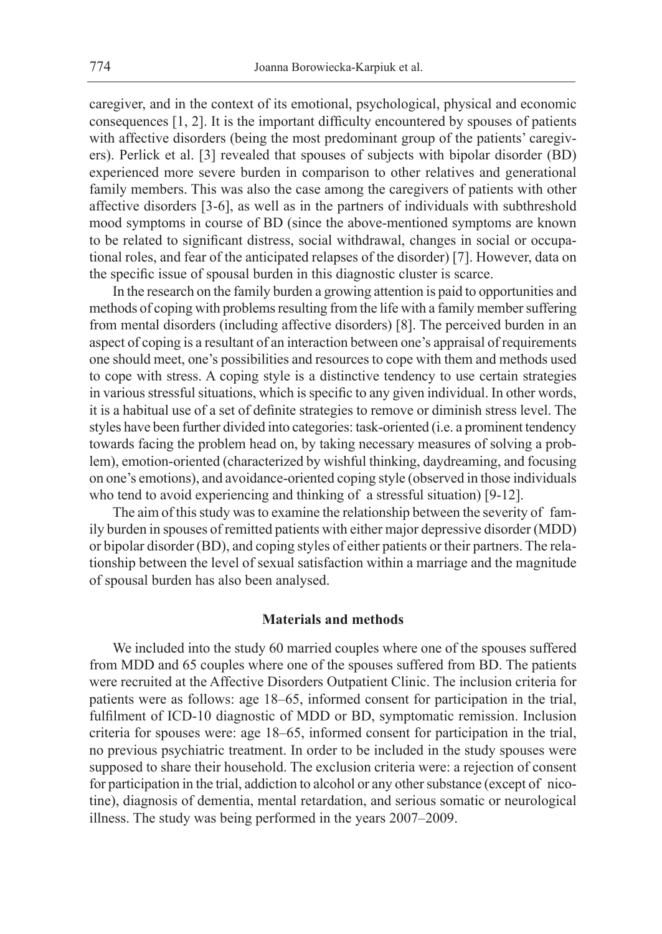caregiver, and in the context of its emotional, psychological, physical and economic consequences [1, 2]. It is the important difficulty encountered by spouses of patients with affective disorders (being the most predominant group of the patients' caregivers). Perlick et al. [3] revealed that spouses of subjects with bipolar disorder (BD) experienced more severe burden in comparison to other relatives and generational family members. This was also the case among the caregivers of patients with other affective disorders [3-6], as well as in the partners of individuals with subthreshold mood symptoms in course of BD (since the above-mentioned symptoms are known to be related to significant distress, social withdrawal, changes in social or occupational roles, and fear of the anticipated relapses of the disorder) [7]. However, data on the specific issue of spousal burden in this diagnostic cluster is scarce.

In the research on the family burden a growing attention is paid to opportunities and methods of coping with problems resulting from the life with a family member suffering from mental disorders (including affective disorders) [8]. The perceived burden in an aspect of coping is a resultant of an interaction between one's appraisal of requirements one should meet, one's possibilities and resources to cope with them and methods used to cope with stress. A coping style is a distinctive tendency to use certain strategies in various stressful situations, which is specific to any given individual. In other words, it is a habitual use of a set of definite strategies to remove or diminish stress level. The styles have been further divided into categories: task-oriented (i.e. a prominent tendency towards facing the problem head on, by taking necessary measures of solving a problem), emotion-oriented (characterized by wishful thinking, daydreaming, and focusing on one's emotions), and avoidance-oriented coping style (observed in those individuals who tend to avoid experiencing and thinking of a stressful situation) [9-12].

The aim of this study was to examine the relationship between the severity of family burden in spouses of remitted patients with either major depressive disorder (MDD) or bipolar disorder (BD), and coping styles of either patients or their partners. The relationship between the level of sexual satisfaction within a marriage and the magnitude of spousal burden has also been analysed.

### **Materials and methods**

We included into the study 60 married couples where one of the spouses suffered from MDD and 65 couples where one of the spouses suffered from BD. The patients were recruited at the Affective Disorders Outpatient Clinic. The inclusion criteria for patients were as follows: age 18–65, informed consent for participation in the trial, fulfilment of ICD-10 diagnostic of MDD or BD, symptomatic remission. Inclusion criteria for spouses were: age 18–65, informed consent for participation in the trial, no previous psychiatric treatment. In order to be included in the study spouses were supposed to share their household. The exclusion criteria were: a rejection of consent for participation in the trial, addiction to alcohol or any other substance (except of nicotine), diagnosis of dementia, mental retardation, and serious somatic or neurological illness. The study was being performed in the years 2007–2009.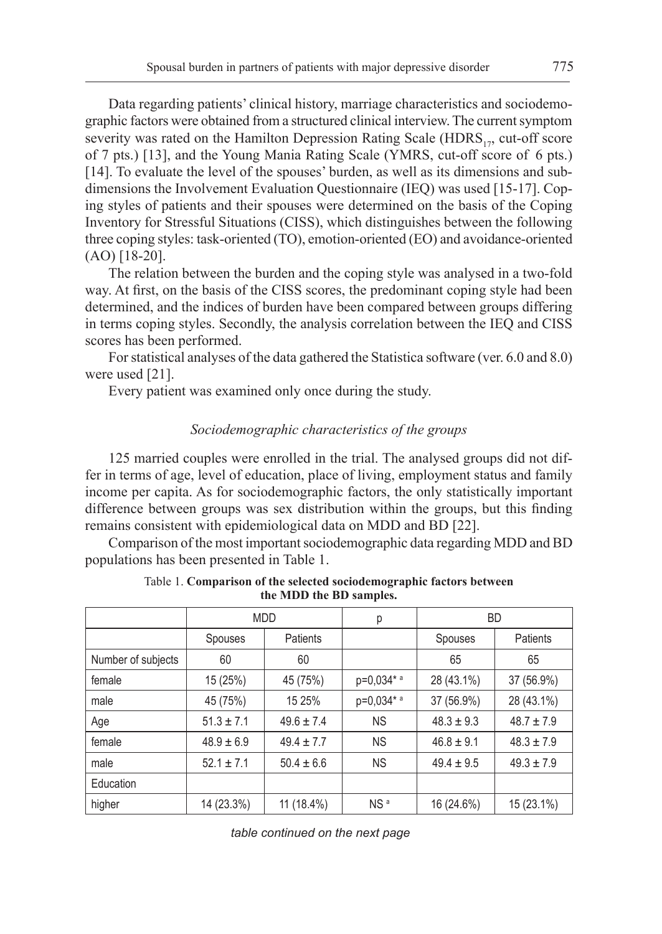Data regarding patients' clinical history, marriage characteristics and sociodemographic factors were obtained from a structured clinical interview. The current symptom severity was rated on the Hamilton Depression Rating Scale ( $HDRS<sub>17</sub>$ , cut-off score of 7 pts.) [13], and the Young Mania Rating Scale (YMRS, cut-off score of 6 pts.) [14]. To evaluate the level of the spouses' burden, as well as its dimensions and subdimensions the Involvement Evaluation Questionnaire (IEQ) was used [15-17]. Coping styles of patients and their spouses were determined on the basis of the Coping Inventory for Stressful Situations (CISS), which distinguishes between the following three coping styles: task-oriented (TO), emotion-oriented (EO) and avoidance-oriented (AO) [18-20].

The relation between the burden and the coping style was analysed in a two-fold way. At first, on the basis of the CISS scores, the predominant coping style had been determined, and the indices of burden have been compared between groups differing in terms coping styles. Secondly, the analysis correlation between the IEQ and CISS scores has been performed.

For statistical analyses of the data gathered the Statistica software (ver. 6.0 and 8.0) were used [21].

Every patient was examined only once during the study.

## *Sociodemographic characteristics of the groups*

125 married couples were enrolled in the trial. The analysed groups did not differ in terms of age, level of education, place of living, employment status and family income per capita. As for sociodemographic factors, the only statistically important difference between groups was sex distribution within the groups, but this finding remains consistent with epidemiological data on MDD and BD [22].

Comparison of the most important sociodemographic data regarding MDD and BD populations has been presented in Table 1.

|                    | <b>MDD</b>     |                | р               | <b>BD</b>      |                |
|--------------------|----------------|----------------|-----------------|----------------|----------------|
|                    | <b>Spouses</b> | Patients       |                 | Spouses        | Patients       |
| Number of subjects | 60             | 60             |                 | 65             | 65             |
| female             | 15 (25%)       | 45 (75%)       | p=0,034* a      | 28 (43.1%)     | 37 (56.9%)     |
| male               | 45 (75%)       | 15 25%         | p=0,034* a      | 37 (56.9%)     | 28 (43.1%)     |
| Age                | $51.3 \pm 7.1$ | $49.6 \pm 7.4$ | <b>NS</b>       | $48.3 \pm 9.3$ | $48.7 \pm 7.9$ |
| female             | $48.9 \pm 6.9$ | $49.4 \pm 7.7$ | <b>NS</b>       | $46.8 \pm 9.1$ | $48.3 \pm 7.9$ |
| male               | $52.1 \pm 7.1$ | $50.4 \pm 6.6$ | <b>NS</b>       | $49.4 \pm 9.5$ | $49.3 \pm 7.9$ |
| Education          |                |                |                 |                |                |
| higher             | 14 (23.3%)     | 11 (18.4%)     | NS <sup>a</sup> | 16 (24.6%)     | 15 (23.1%)     |

Table 1. **Comparison of the selected sociodemographic factors between the MDD the BD samples.**

*table continued on the next page*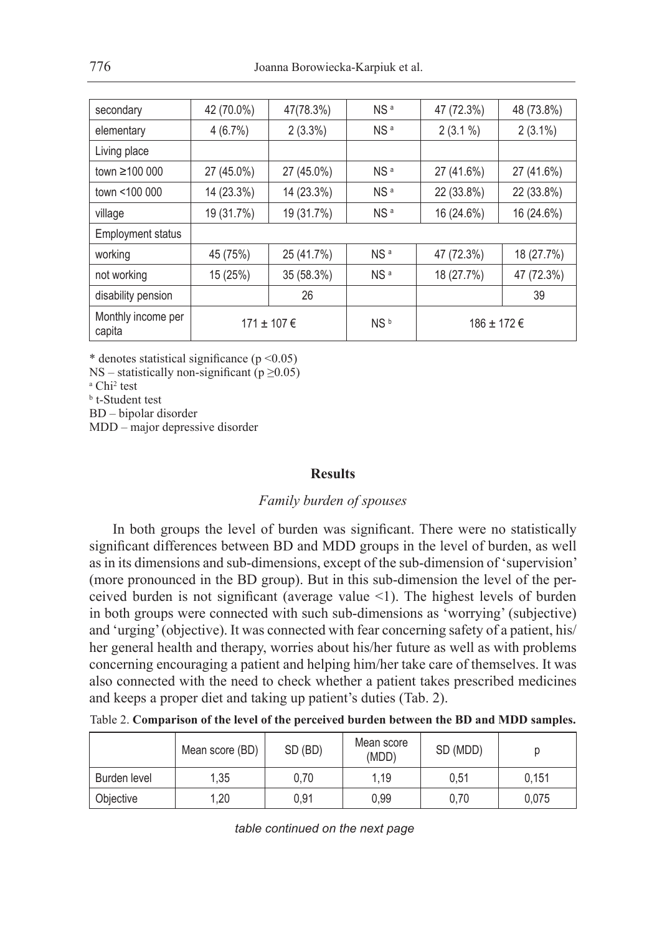| secondary                    | 42 (70.0%) | 47(78.3%)         | NS <sup>a</sup> | 47 (72.3%)  | 48 (73.8%) |
|------------------------------|------------|-------------------|-----------------|-------------|------------|
| elementary                   | 4(6.7%)    | $2(3.3\%)$        | NS <sup>a</sup> | $2(3.1\%)$  | $2(3.1\%)$ |
| Living place                 |            |                   |                 |             |            |
| town ≥100 000                | 27 (45.0%) | 27 (45.0%)        | NS <sup>a</sup> | 27 (41.6%)  | 27 (41.6%) |
| town <100 000                | 14 (23.3%) | 14 (23.3%)        | NS <sup>a</sup> | 22 (33.8%)  | 22 (33.8%) |
| village                      | 19 (31.7%) | 19 (31.7%)        | NS <sup>a</sup> | 16 (24.6%)  | 16 (24.6%) |
| <b>Employment status</b>     |            |                   |                 |             |            |
| working                      | 45 (75%)   | 25 (41.7%)        | NS <sup>a</sup> | 47 (72.3%)  | 18 (27.7%) |
| not working                  | 15 (25%)   | 35 (58.3%)        | NS <sup>a</sup> | 18 (27.7%)  | 47 (72.3%) |
| disability pension           |            | 26                |                 |             | 39         |
| Monthly income per<br>capita |            | $171 \pm 107 \in$ | NS <sup>b</sup> | 186 ± 172 € |            |

NS – statistically non-significant ( $p \ge 0.05$ )

<sup>a</sup> Chi<sup>2</sup> test

<sup>b</sup> t-Student test

BD – bipolar disorder

MDD – major depressive disorder

### **Results**

# *Family burden of spouses*

In both groups the level of burden was significant. There were no statistically significant differences between BD and MDD groups in the level of burden, as well as in its dimensions and sub-dimensions, except of the sub-dimension of 'supervision' (more pronounced in the BD group). But in this sub-dimension the level of the perceived burden is not significant (average value <1). The highest levels of burden in both groups were connected with such sub-dimensions as 'worrying' (subjective) and 'urging' (objective). It was connected with fear concerning safety of a patient, his/ her general health and therapy, worries about his/her future as well as with problems concerning encouraging a patient and helping him/her take care of themselves. It was also connected with the need to check whether a patient takes prescribed medicines and keeps a proper diet and taking up patient's duties (Tab. 2).

|  |  |  |  |  |  | Table 2. Comparison of the level of the perceived burden between the BD and MDD samples. |
|--|--|--|--|--|--|------------------------------------------------------------------------------------------|
|--|--|--|--|--|--|------------------------------------------------------------------------------------------|

|              | Mean score (BD) | SD (BD) | Mean score<br>(MDD) | SD (MDD) |       |
|--------------|-----------------|---------|---------------------|----------|-------|
| Burden level | 1.35            | 0.70    | 1.19                | 0.51     | 0.151 |
| Objective    | 1,20            | 0.91    | 0,99                | 0,70     | 0,075 |

*table continued on the next page*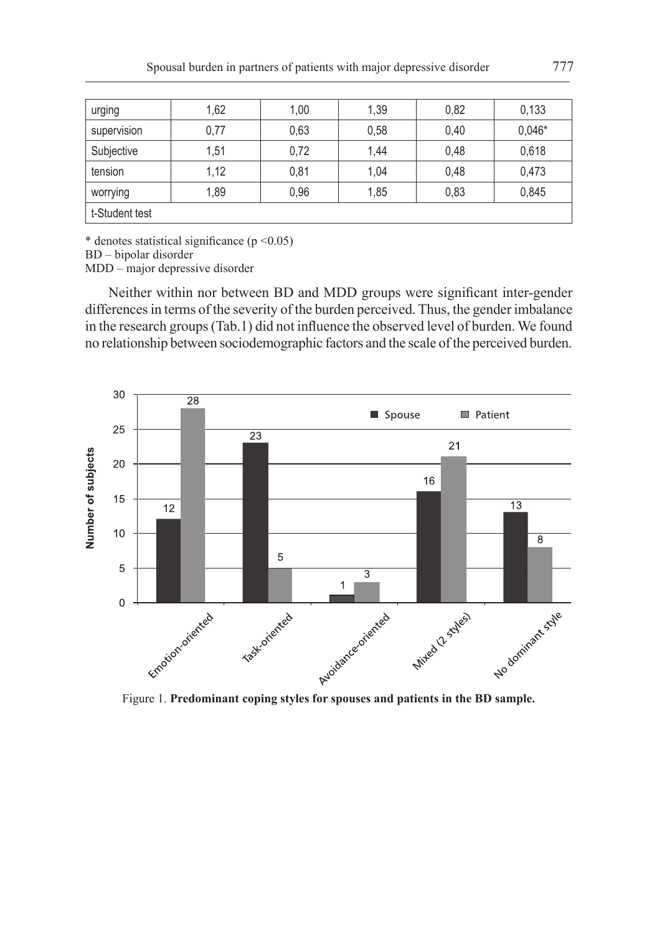| urging         | 1,62 | 1,00 | 1,39 | 0,82 | 0.133    |
|----------------|------|------|------|------|----------|
| supervision    | 0,77 | 0.63 | 0,58 | 0,40 | $0.046*$ |
| Subjective     | 1,51 | 0,72 | 1,44 | 0,48 | 0,618    |
| tension        | 1,12 | 0,81 | 1,04 | 0,48 | 0,473    |
| worrying       | 1,89 | 0,96 | 1,85 | 0,83 | 0,845    |
| t-Student test |      |      |      |      |          |

BD – bipolar disorder

MDD – major depressive disorder

Neither within nor between BD and MDD groups were significant inter-gender differences in terms of the severity of the burden perceived. Thus, the gender imbalance in the research groups (Tab.1) did not influence the observed level of burden. We found no relationship between sociodemographic factors and the scale of the perceived burden.

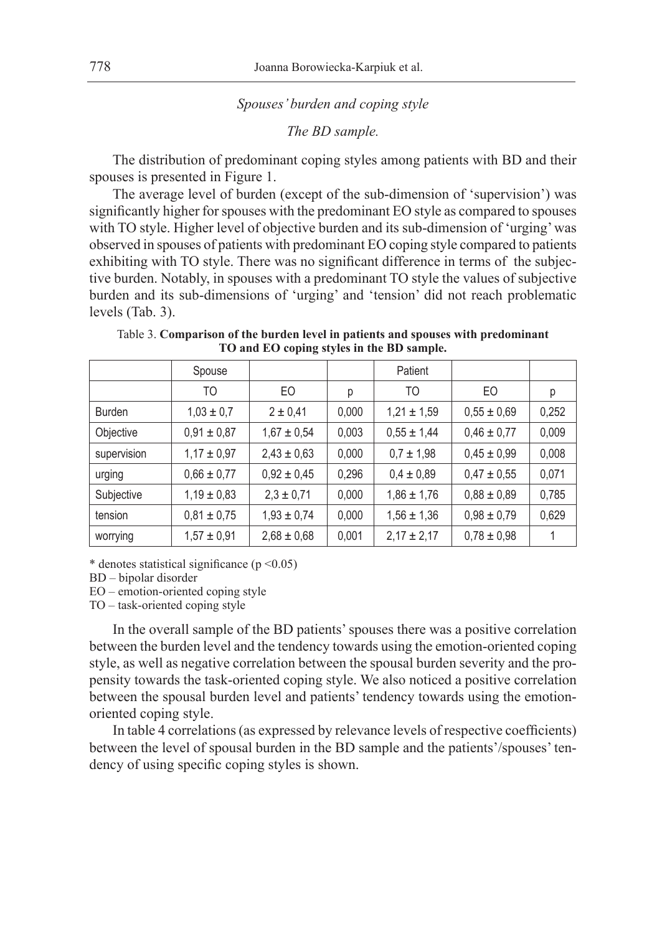### *Spouses' burden and coping style*

*The BD sample.*

The distribution of predominant coping styles among patients with BD and their spouses is presented in Figure 1.

The average level of burden (except of the sub-dimension of 'supervision') was significantly higher for spouses with the predominant EO style as compared to spouses with TO style. Higher level of objective burden and its sub-dimension of 'urging' was observed in spouses of patients with predominant EO coping style compared to patients exhibiting with TO style. There was no significant difference in terms of the subjective burden. Notably, in spouses with a predominant TO style the values of subjective burden and its sub-dimensions of 'urging' and 'tension' did not reach problematic levels (Tab. 3).

Table 3. **Comparison of the burden level in patients and spouses with predominant TO and EO coping styles in the BD sample.**

|               | Spouse          |                 |       | Patient         |                 |       |
|---------------|-----------------|-----------------|-------|-----------------|-----------------|-------|
|               | TO              | EO              | р     | TO              | EO              | р     |
| <b>Burden</b> | $1,03 \pm 0,7$  | $2 \pm 0,41$    | 0,000 | $1,21 \pm 1,59$ | $0,55 \pm 0,69$ | 0,252 |
| Objective     | $0,91 \pm 0,87$ | $1,67 \pm 0,54$ | 0,003 | $0,55 \pm 1,44$ | $0,46 \pm 0,77$ | 0,009 |
| supervision   | $1,17 \pm 0,97$ | $2,43 \pm 0,63$ | 0,000 | $0.7 \pm 1.98$  | $0,45 \pm 0,99$ | 0,008 |
| urging        | $0,66 \pm 0,77$ | $0,92 \pm 0,45$ | 0,296 | $0.4 \pm 0.89$  | $0,47 \pm 0,55$ | 0,071 |
| Subjective    | $1,19 \pm 0,83$ | $2,3 \pm 0,71$  | 0,000 | $1,86 \pm 1,76$ | $0,88 \pm 0,89$ | 0,785 |
| tension       | $0,81 \pm 0,75$ | $1,93 \pm 0,74$ | 0,000 | $1,56 \pm 1,36$ | $0,98 \pm 0,79$ | 0,629 |
| worrying      | $1,57 \pm 0,91$ | $2,68 \pm 0,68$ | 0,001 | $2,17 \pm 2,17$ | $0,78 \pm 0,98$ |       |

\* denotes statistical significance ( $p \le 0.05$ )

BD – bipolar disorder

EO – emotion-oriented coping style

TO – task-oriented coping style

In the overall sample of the BD patients' spouses there was a positive correlation between the burden level and the tendency towards using the emotion-oriented coping style, as well as negative correlation between the spousal burden severity and the propensity towards the task-oriented coping style. We also noticed a positive correlation between the spousal burden level and patients' tendency towards using the emotionoriented coping style.

In table 4 correlations (as expressed by relevance levels of respective coefficients) between the level of spousal burden in the BD sample and the patients'/spouses' tendency of using specific coping styles is shown.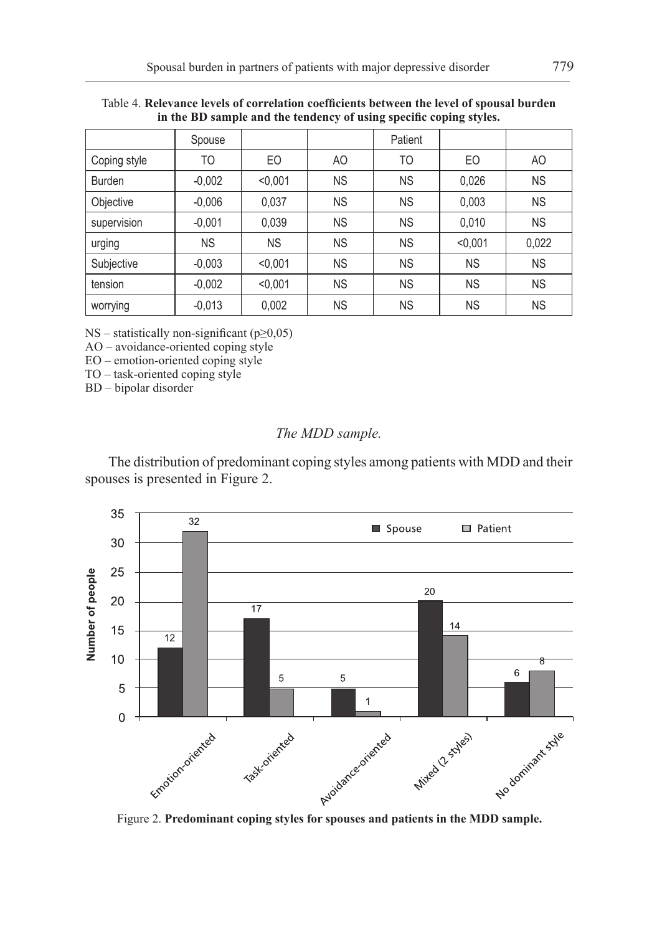|              |           |           | $\cdot$   | - 1       | -         |           |
|--------------|-----------|-----------|-----------|-----------|-----------|-----------|
|              | Spouse    |           |           | Patient   |           |           |
| Coping style | TO        | EO        | AO        | TO        | EO        | AO        |
| Burden       | $-0,002$  | < 0,001   | <b>NS</b> | <b>NS</b> | 0,026     | <b>NS</b> |
| Objective    | $-0,006$  | 0,037     | <b>NS</b> | <b>NS</b> | 0,003     | <b>NS</b> |
| supervision  | $-0.001$  | 0,039     | <b>NS</b> | <b>NS</b> | 0,010     | <b>NS</b> |
| urging       | <b>NS</b> | <b>NS</b> | <b>NS</b> | <b>NS</b> | < 0,001   | 0,022     |
| Subjective   | $-0,003$  | < 0.001   | <b>NS</b> | <b>NS</b> | <b>NS</b> | <b>NS</b> |
| tension      | $-0,002$  | < 0.001   | <b>NS</b> | <b>NS</b> | <b>NS</b> | <b>NS</b> |
| worrying     | $-0,013$  | 0,002     | <b>NS</b> | <b>NS</b> | <b>NS</b> | <b>NS</b> |

Table 4. **Relevance levels of correlation coefficients between the level of spousal burden in the BD sample and the tendency of using specific coping styles.**

NS – statistically non-significant ( $p \ge 0,05$ )

AO – avoidance-oriented coping style

EO – emotion-oriented coping style

TO – task-oriented coping style

BD – bipolar disorder

## *The MDD sample.*

The distribution of predominant coping styles among patients with MDD and their spouses is presented in Figure 2.

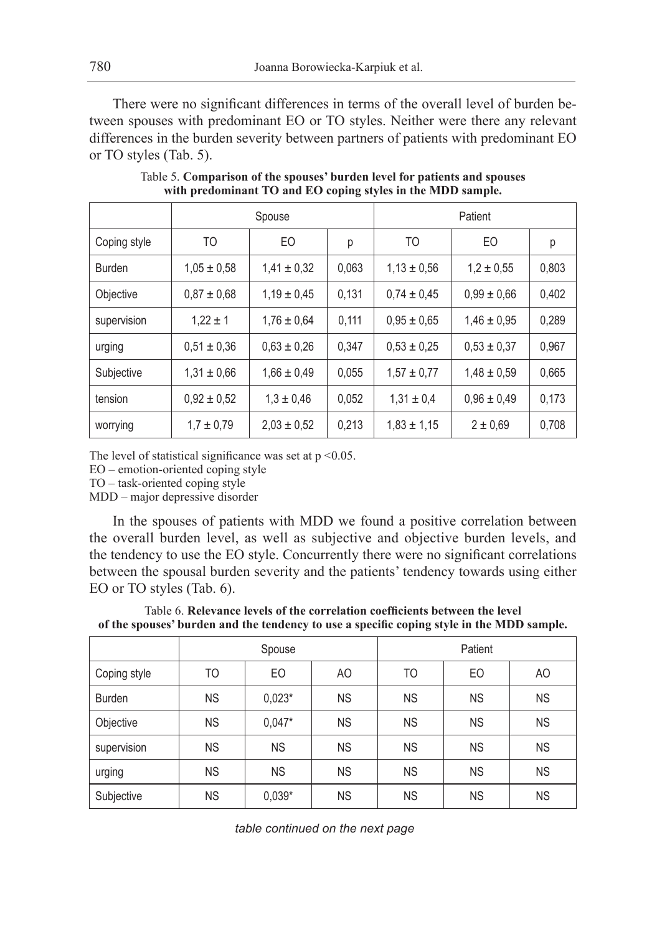There were no significant differences in terms of the overall level of burden between spouses with predominant EO or TO styles. Neither were there any relevant differences in the burden severity between partners of patients with predominant EO or TO styles (Tab. 5).

|              |                 | Spouse          |       |                 | Patient         |       |
|--------------|-----------------|-----------------|-------|-----------------|-----------------|-------|
| Coping style | TO              | E <sub>O</sub>  | р     | TO              | EO              | р     |
| Burden       | $1.05 \pm 0.58$ | $1.41 \pm 0.32$ | 0,063 | $1.13 \pm 0.56$ | $1.2 \pm 0.55$  | 0,803 |
| Objective    | $0,87 \pm 0,68$ | $1.19 \pm 0.45$ | 0,131 | $0.74 \pm 0.45$ | $0.99 \pm 0.66$ | 0,402 |
| supervision  | $1,22 \pm 1$    | $1,76 \pm 0.64$ | 0,111 | $0.95 \pm 0.65$ | $1,46 \pm 0,95$ | 0,289 |
| urging       | $0.51 \pm 0.36$ | $0,63 \pm 0,26$ | 0,347 | $0.53 \pm 0.25$ | $0.53 \pm 0.37$ | 0,967 |
| Subjective   | $1,31 \pm 0.66$ | $1,66 \pm 0,49$ | 0,055 | $1,57 \pm 0,77$ | $1.48 \pm 0.59$ | 0,665 |
| tension      | $0.92 \pm 0.52$ | $1.3 \pm 0.46$  | 0,052 | $1,31 \pm 0.4$  | $0.96 \pm 0.49$ | 0,173 |
| worrying     | $1.7 \pm 0.79$  | $2.03 \pm 0.52$ | 0,213 | $1,83 \pm 1,15$ | $2 \pm 0.69$    | 0,708 |

Table 5. **Comparison of the spouses' burden level for patients and spouses with predominant TO and EO coping styles in the MDD sample.**

The level of statistical significance was set at  $p \le 0.05$ .

EO – emotion-oriented coping style

TO – task-oriented coping style

MDD – major depressive disorder

In the spouses of patients with MDD we found a positive correlation between the overall burden level, as well as subjective and objective burden levels, and the tendency to use the EO style. Concurrently there were no significant correlations between the spousal burden severity and the patients' tendency towards using either EO or TO styles (Tab. 6).

Table 6. **Relevance levels of the correlation coefficients between the level of the spouses' burden and the tendency to use a specific coping style in the MDD sample.**

|              | Spouse    |           |           | Patient   |           |           |
|--------------|-----------|-----------|-----------|-----------|-----------|-----------|
| Coping style | TO        | EO        | AO        | TO        | EO        | AO        |
| Burden       | <b>NS</b> | $0,023*$  | <b>NS</b> | <b>NS</b> | <b>NS</b> | <b>NS</b> |
| Objective    | <b>NS</b> | $0.047*$  | <b>NS</b> | <b>NS</b> | <b>NS</b> | <b>NS</b> |
| supervision  | <b>NS</b> | <b>NS</b> | <b>NS</b> | <b>NS</b> | <b>NS</b> | <b>NS</b> |
| urging       | <b>NS</b> | <b>NS</b> | <b>NS</b> | <b>NS</b> | <b>NS</b> | <b>NS</b> |
| Subjective   | <b>NS</b> | $0,039*$  | <b>NS</b> | <b>NS</b> | <b>NS</b> | <b>NS</b> |

*table continued on the next page*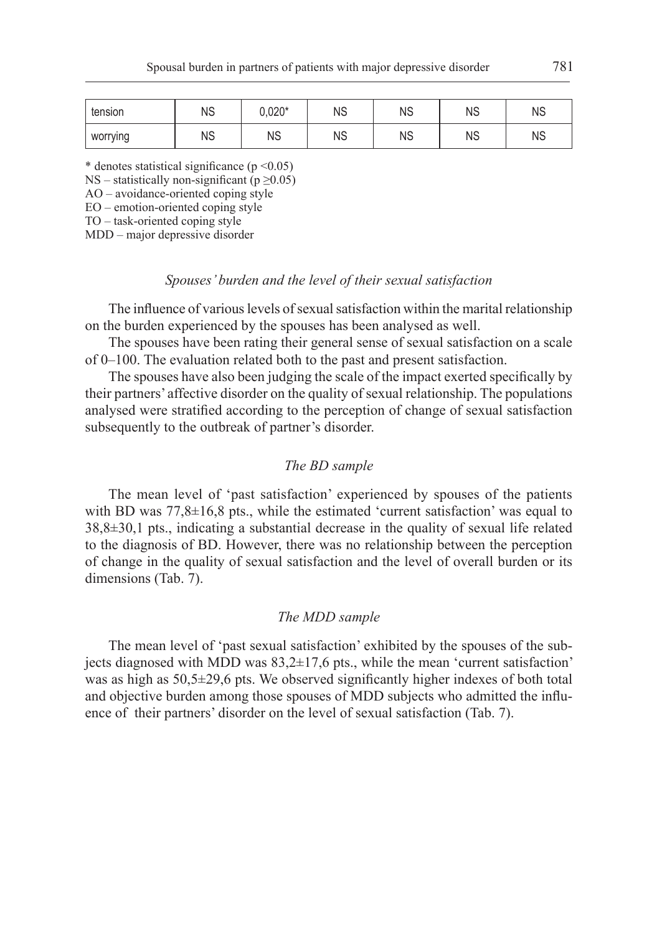| tension  | ΝS | $J,020*$ | ΝS | ΝS | ΝS | ΝS |
|----------|----|----------|----|----|----|----|
| worrying | ΝS | ΝS       | ΝS | ΝS | ΝS | ΝS |

NS – statistically non-significant ( $p \ge 0.05$ )

AO – avoidance-oriented coping style

EO – emotion-oriented coping style

TO – task-oriented coping style

MDD – major depressive disorder

### *Spouses' burden and the level of their sexual satisfaction*

The influence of various levels of sexual satisfaction within the marital relationship on the burden experienced by the spouses has been analysed as well.

The spouses have been rating their general sense of sexual satisfaction on a scale of 0–100. The evaluation related both to the past and present satisfaction.

The spouses have also been judging the scale of the impact exerted specifically by their partners' affective disorder on the quality of sexual relationship. The populations analysed were stratified according to the perception of change of sexual satisfaction subsequently to the outbreak of partner's disorder.

#### *The BD sample*

The mean level of 'past satisfaction' experienced by spouses of the patients with BD was  $77,8\pm16,8$  pts., while the estimated 'current satisfaction' was equal to 38,8±30,1 pts., indicating a substantial decrease in the quality of sexual life related to the diagnosis of BD. However, there was no relationship between the perception of change in the quality of sexual satisfaction and the level of overall burden or its dimensions (Tab. 7).

### *The MDD sample*

The mean level of 'past sexual satisfaction' exhibited by the spouses of the subjects diagnosed with MDD was  $83,2\pm17,6$  pts., while the mean 'current satisfaction' was as high as 50,5±29,6 pts. We observed significantly higher indexes of both total and objective burden among those spouses of MDD subjects who admitted the influence of their partners' disorder on the level of sexual satisfaction (Tab. 7).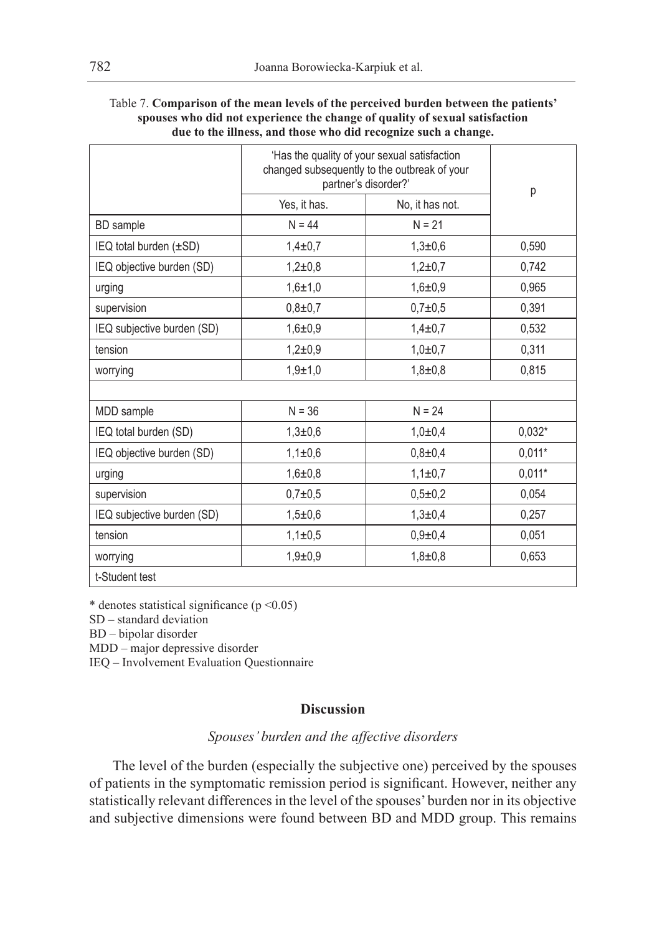| Table 7. Comparison of the mean levels of the perceived burden between the patients' |
|--------------------------------------------------------------------------------------|
| spouses who did not experience the change of quality of sexual satisfaction          |
| due to the illness, and those who did recognize such a change.                       |

|                            | 'Has the quality of your sexual satisfaction<br>changed subsequently to the outbreak of your<br>partner's disorder?' | p               |          |
|----------------------------|----------------------------------------------------------------------------------------------------------------------|-----------------|----------|
|                            | Yes, it has.                                                                                                         | No, it has not. |          |
| <b>BD</b> sample           | $N = 44$                                                                                                             | $N = 21$        |          |
| IEQ total burden (±SD)     | $1,4+0,7$                                                                                                            | $1,3 + 0,6$     | 0,590    |
| IEQ objective burden (SD)  | $1,2+0,8$                                                                                                            | $1,2+0,7$       | 0.742    |
| urging                     | $1,6 \pm 1,0$                                                                                                        | $1,6 + 0,9$     | 0.965    |
| supervision                | $0,8+0,7$                                                                                                            | $0.7 + 0.5$     | 0,391    |
| IEQ subjective burden (SD) | $1,6 + 0,9$                                                                                                          | $1.4 \pm 0.7$   | 0,532    |
| tension                    | $1,2+0,9$                                                                                                            | $1.0 + 0.7$     | 0,311    |
| worrying                   | $1,9+1,0$                                                                                                            | $1,8 + 0.8$     | 0.815    |
|                            |                                                                                                                      |                 |          |
| MDD sample                 | $N = 36$                                                                                                             | $N = 24$        |          |
| IEQ total burden (SD)      | $1,3 + 0,6$                                                                                                          | $1,0+0,4$       | $0,032*$ |
| IEQ objective burden (SD)  | $1.1 \pm 0.6$                                                                                                        | $0.8 + 0.4$     | $0,011*$ |
| urging                     | $1,6+0,8$                                                                                                            | $1,1\pm0,7$     | $0,011*$ |
| supervision                | $0,7+0,5$                                                                                                            | $0,5+0,2$       | 0,054    |
| IEQ subjective burden (SD) | $1,5 + 0,6$                                                                                                          | $1,3+0,4$       | 0,257    |
| tension                    | $1.1 \pm 0.5$                                                                                                        | $0,9+0,4$       | 0,051    |
| worrying                   | $1,9 + 0,9$                                                                                                          | $1,8 + 0,8$     | 0,653    |
| t-Student test             |                                                                                                                      |                 |          |

SD – standard deviation

BD – bipolar disorder

MDD – major depressive disorder

IEQ – Involvement Evaluation Questionnaire

### **Discussion**

# *Spouses' burden and the affective disorders*

The level of the burden (especially the subjective one) perceived by the spouses of patients in the symptomatic remission period is significant. However, neither any statistically relevant differences in the level of the spouses' burden nor in its objective and subjective dimensions were found between BD and MDD group. This remains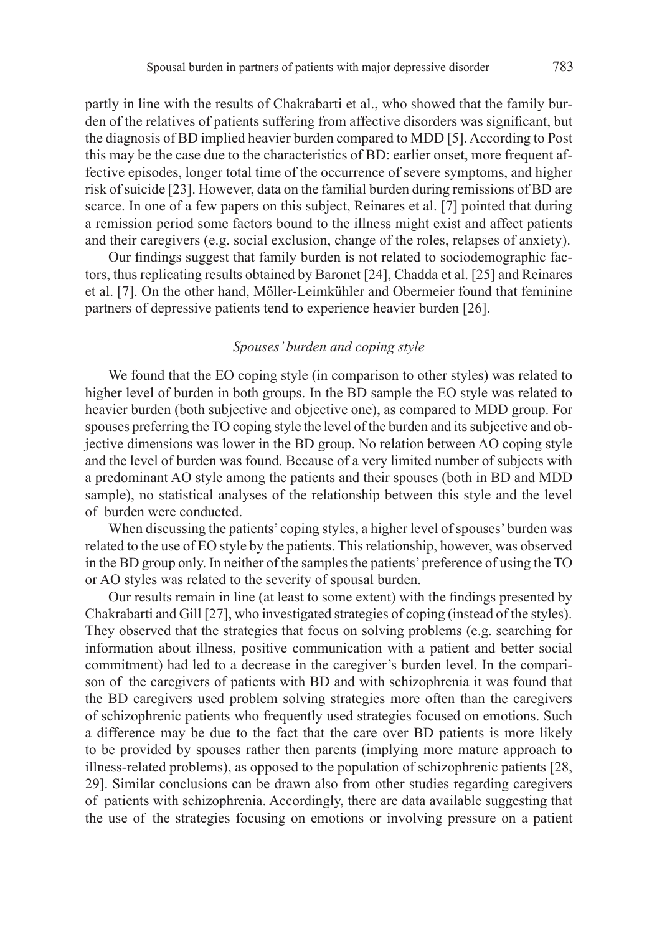partly in line with the results of Chakrabarti et al., who showed that the family burden of the relatives of patients suffering from affective disorders was significant, but the diagnosis of BD implied heavier burden compared to MDD [5]. According to Post this may be the case due to the characteristics of BD: earlier onset, more frequent affective episodes, longer total time of the occurrence of severe symptoms, and higher risk of suicide [23]. However, data on the familial burden during remissions of BD are scarce. In one of a few papers on this subject, Reinares et al. [7] pointed that during a remission period some factors bound to the illness might exist and affect patients and their caregivers (e.g. social exclusion, change of the roles, relapses of anxiety).

Our findings suggest that family burden is not related to sociodemographic factors, thus replicating results obtained by Baronet [24], Chadda et al. [25] and Reinares et al. [7]. On the other hand, Möller-Leimkühler and Obermeier found that feminine partners of depressive patients tend to experience heavier burden [26].

## *Spouses' burden and coping style*

We found that the EO coping style (in comparison to other styles) was related to higher level of burden in both groups. In the BD sample the EO style was related to heavier burden (both subjective and objective one), as compared to MDD group. For spouses preferring the TO coping style the level of the burden and its subjective and objective dimensions was lower in the BD group. No relation between AO coping style and the level of burden was found. Because of a very limited number of subjects with a predominant AO style among the patients and their spouses (both in BD and MDD sample), no statistical analyses of the relationship between this style and the level of burden were conducted.

When discussing the patients' coping styles, a higher level of spouses' burden was related to the use of EO style by the patients. This relationship, however, was observed in the BD group only. In neither of the samples the patients' preference of using the TO or AO styles was related to the severity of spousal burden.

Our results remain in line (at least to some extent) with the findings presented by Chakrabarti and Gill [27], who investigated strategies of coping (instead of the styles). They observed that the strategies that focus on solving problems (e.g. searching for information about illness, positive communication with a patient and better social commitment) had led to a decrease in the caregiver's burden level. In the comparison of the caregivers of patients with BD and with schizophrenia it was found that the BD caregivers used problem solving strategies more often than the caregivers of schizophrenic patients who frequently used strategies focused on emotions. Such a difference may be due to the fact that the care over BD patients is more likely to be provided by spouses rather then parents (implying more mature approach to illness-related problems), as opposed to the population of schizophrenic patients [28, 29]. Similar conclusions can be drawn also from other studies regarding caregivers of patients with schizophrenia. Accordingly, there are data available suggesting that the use of the strategies focusing on emotions or involving pressure on a patient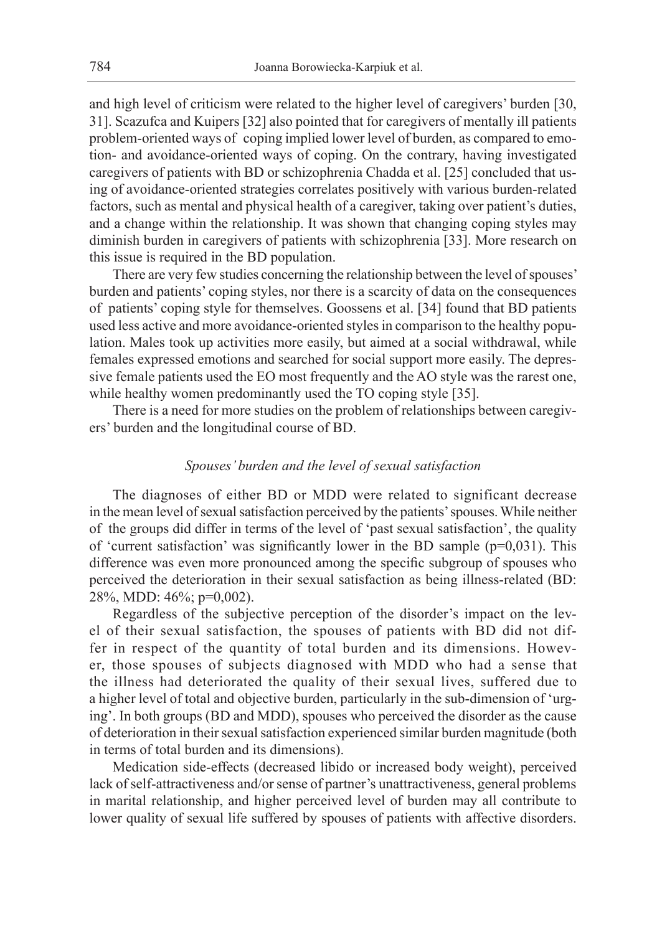and high level of criticism were related to the higher level of caregivers' burden [30, 31]. Scazufca and Kuipers [32] also pointed that for caregivers of mentally ill patients problem-oriented ways of coping implied lower level of burden, as compared to emotion- and avoidance-oriented ways of coping. On the contrary, having investigated caregivers of patients with BD or schizophrenia Chadda et al. [25] concluded that using of avoidance-oriented strategies correlates positively with various burden-related factors, such as mental and physical health of a caregiver, taking over patient's duties, and a change within the relationship. It was shown that changing coping styles may diminish burden in caregivers of patients with schizophrenia [33]. More research on this issue is required in the BD population.

There are very few studies concerning the relationship between the level of spouses' burden and patients' coping styles, nor there is a scarcity of data on the consequences of patients' coping style for themselves. Goossens et al. [34] found that BD patients used less active and more avoidance-oriented styles in comparison to the healthy population. Males took up activities more easily, but aimed at a social withdrawal, while females expressed emotions and searched for social support more easily. The depressive female patients used the EO most frequently and the AO style was the rarest one, while healthy women predominantly used the TO coping style [35].

There is a need for more studies on the problem of relationships between caregivers' burden and the longitudinal course of BD.

#### *Spouses' burden and the level of sexual satisfaction*

The diagnoses of either BD or MDD were related to significant decrease in the mean level of sexual satisfaction perceived by the patients' spouses. While neither of the groups did differ in terms of the level of 'past sexual satisfaction', the quality of 'current satisfaction' was significantly lower in the BD sample  $(p=0.031)$ . This difference was even more pronounced among the specific subgroup of spouses who perceived the deterioration in their sexual satisfaction as being illness-related (BD: 28%, MDD: 46%; p=0,002).

Regardless of the subjective perception of the disorder's impact on the level of their sexual satisfaction, the spouses of patients with BD did not differ in respect of the quantity of total burden and its dimensions. However, those spouses of subjects diagnosed with MDD who had a sense that the illness had deteriorated the quality of their sexual lives, suffered due to a higher level of total and objective burden, particularly in the sub-dimension of 'urging'. In both groups (BD and MDD), spouses who perceived the disorder as the cause of deterioration in their sexual satisfaction experienced similar burden magnitude (both in terms of total burden and its dimensions).

Medication side-effects (decreased libido or increased body weight), perceived lack of self-attractiveness and/or sense of partner's unattractiveness, general problems in marital relationship, and higher perceived level of burden may all contribute to lower quality of sexual life suffered by spouses of patients with affective disorders.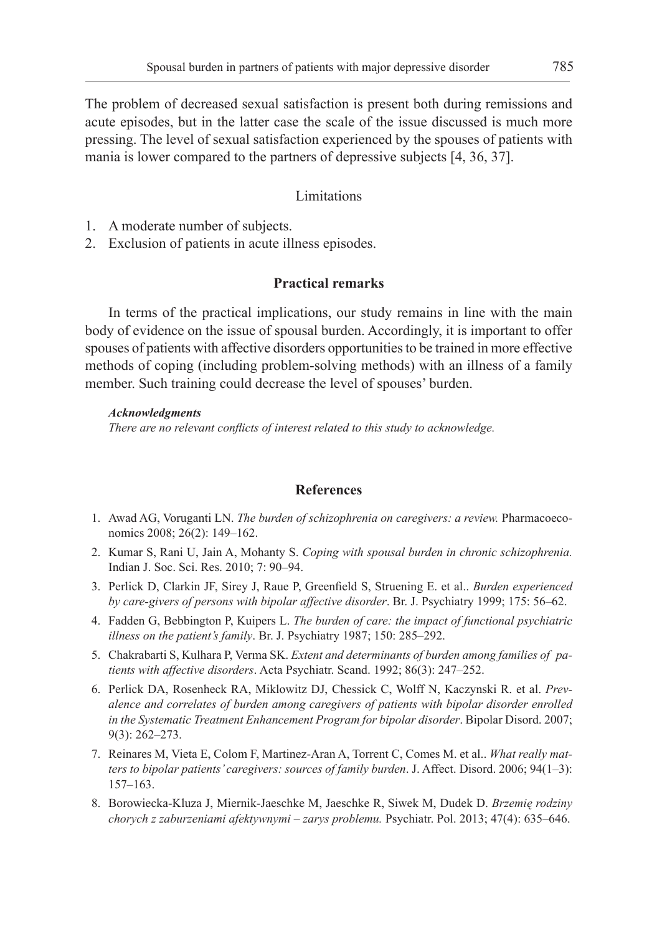The problem of decreased sexual satisfaction is present both during remissions and acute episodes, but in the latter case the scale of the issue discussed is much more pressing. The level of sexual satisfaction experienced by the spouses of patients with mania is lower compared to the partners of depressive subjects [4, 36, 37].

#### Limitations

- 1. A moderate number of subjects.
- 2. Exclusion of patients in acute illness episodes.

## **Practical remarks**

In terms of the practical implications, our study remains in line with the main body of evidence on the issue of spousal burden. Accordingly, it is important to offer spouses of patients with affective disorders opportunities to be trained in more effective methods of coping (including problem-solving methods) with an illness of a family member. Such training could decrease the level of spouses' burden.

#### *Acknowledgments*

*There are no relevant conflicts of interest related to this study to acknowledge.*

#### **References**

- 1. Awad AG, Voruganti LN. *The burden of schizophrenia on caregivers: a review.* Pharmacoeconomics 2008; 26(2): 149–162.
- 2. Kumar S, Rani U, Jain A, Mohanty S. *Coping with spousal burden in chronic schizophrenia.* Indian J. Soc. Sci. Res. 2010; 7: 90–94.
- 3. Perlick D, Clarkin JF, Sirey J, Raue P, Greenfield S, Struening E. et al.. *Burden experienced by care-givers of persons with bipolar affective disorder*. Br. J. Psychiatry 1999; 175: 56–62.
- 4. Fadden G, Bebbington P, Kuipers L. *The burden of care: the impact of functional psychiatric illness on the patient's family*. Br. J. Psychiatry 1987; 150: 285–292.
- 5. Chakrabarti S, Kulhara P, Verma SK. *Extent and determinants of burden among families of patients with affective disorders*. Acta Psychiatr. Scand. 1992; 86(3): 247–252.
- 6. Perlick DA, Rosenheck RA, Miklowitz DJ, Chessick C, Wolff N, Kaczynski R. et al. *Prevalence and correlates of burden among caregivers of patients with bipolar disorder enrolled in the Systematic Treatment Enhancement Program for bipolar disorder*. Bipolar Disord. 2007; 9(3): 262–273.
- 7. Reinares M, Vieta E, Colom F, Martinez-Aran A, Torrent C, Comes M. et al.. *What really matters to bipolar patients' caregivers: sources of family burden*. J. Affect. Disord. 2006; 94(1–3): 157–163.
- 8. Borowiecka-Kluza J, Miernik-Jaeschke M, Jaeschke R, Siwek M, Dudek D. *Brzemię rodziny chorych z zaburzeniami afektywnymi – zarys problemu.* Psychiatr. Pol. 2013; 47(4): 635–646.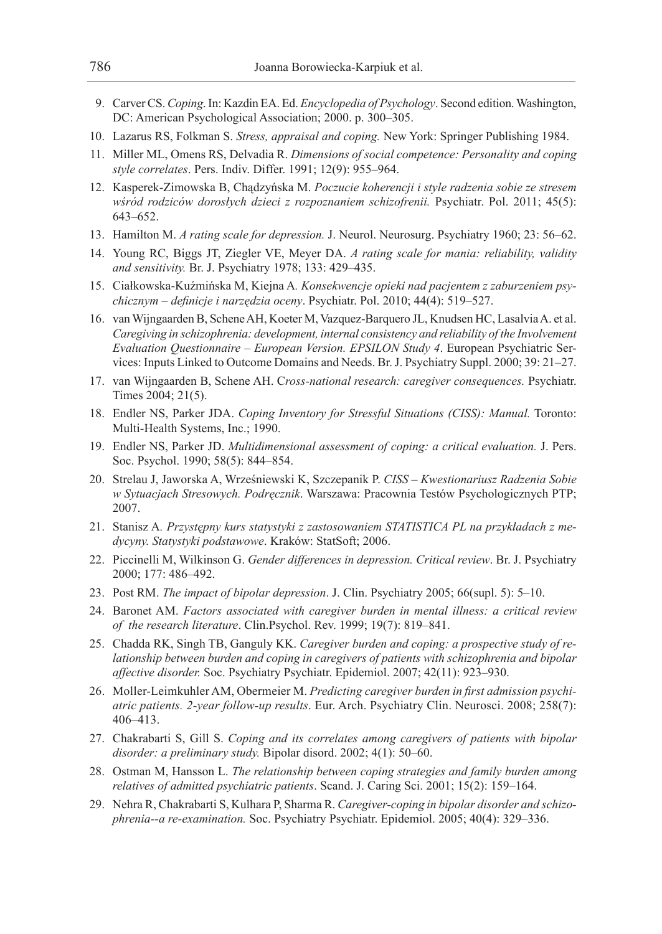- 9. Carver CS. *Coping*. In: Kazdin EA. Ed. *Encyclopedia of Psychology*. Second edition. Washington, DC: American Psychological Association; 2000. p. 300–305.
- 10. Lazarus RS, Folkman S. *Stress, appraisal and coping.* New York: Springer Publishing 1984.
- 11. Miller ML, Omens RS, Delvadia R. *Dimensions of social competence: Personality and coping style correlates*. Pers. Indiv. Differ. 1991; 12(9): 955–964.
- 12. Kasperek-Zimowska B, Chądzyńska M. *Poczucie koherencji i style radzenia sobie ze stresem wśród rodziców dorosłych dzieci z rozpoznaniem schizofrenii.* Psychiatr. Pol. 2011; 45(5): 643–652.
- 13. Hamilton M. *A rating scale for depression.* J. Neurol. Neurosurg. Psychiatry 1960; 23: 56–62.
- 14. Young RC, Biggs JT, Ziegler VE, Meyer DA. *A rating scale for mania: reliability, validity and sensitivity.* Br. J. Psychiatry 1978; 133: 429–435.
- 15. Ciałkowska-Kuźmińska M, Kiejna A*. Konsekwencje opieki nad pacjentem z zaburzeniem psychicznym – definicje i narzędzia oceny*. Psychiatr. Pol. 2010; 44(4): 519–527.
- 16. van Wijngaarden B, Schene AH, Koeter M, Vazquez-Barquero JL, Knudsen HC, Lasalvia A. et al. *Caregiving in schizophrenia: development, internal consistency and reliability of the Involvement Evaluation Questionnaire – European Version. EPSILON Study 4*. European Psychiatric Services: Inputs Linked to Outcome Domains and Needs. Br. J. Psychiatry Suppl. 2000; 39: 21–27.
- 17. van Wijngaarden B, Schene AH. C*ross-national research: caregiver consequences.* Psychiatr. Times 2004; 21(5).
- 18. Endler NS, Parker JDA. *Coping Inventory for Stressful Situations (CISS): Manual.* Toronto: Multi-Health Systems, Inc.; 1990.
- 19. Endler NS, Parker JD. *Multidimensional assessment of coping: a critical evaluation.* J. Pers. Soc. Psychol. 1990; 58(5): 844–854.
- 20. Strelau J, Jaworska A, Wrześniewski K, Szczepanik P. *CISS Kwestionariusz Radzenia Sobie w Sytuacjach Stresowych. Podręcznik*. Warszawa: Pracownia Testów Psychologicznych PTP; 2007.
- 21. Stanisz A*. Przystępny kurs statystyki z zastosowaniem STATISTICA PL na przykładach z medycyny. Statystyki podstawowe*. Kraków: StatSoft; 2006.
- 22. Piccinelli M, Wilkinson G. *Gender differences in depression. Critical review*. Br. J. Psychiatry 2000; 177: 486–492.
- 23. Post RM. *The impact of bipolar depression*. J. Clin. Psychiatry 2005; 66(supl. 5): 5–10.
- 24. Baronet AM. *Factors associated with caregiver burden in mental illness: a critical review of the research literature*. Clin.Psychol. Rev. 1999; 19(7): 819–841.
- 25. Chadda RK, Singh TB, Ganguly KK. *Caregiver burden and coping: a prospective study of relationship between burden and coping in caregivers of patients with schizophrenia and bipolar affective disorder.* Soc. Psychiatry Psychiatr. Epidemiol. 2007; 42(11): 923–930.
- 26. Moller-Leimkuhler AM, Obermeier M. *Predicting caregiver burden in first admission psychiatric patients. 2-year follow-up results*. Eur. Arch. Psychiatry Clin. Neurosci. 2008; 258(7): 406–413.
- 27. Chakrabarti S, Gill S. *Coping and its correlates among caregivers of patients with bipolar disorder: a preliminary study.* Bipolar disord. 2002; 4(1): 50–60.
- 28. Ostman M, Hansson L. *The relationship between coping strategies and family burden among relatives of admitted psychiatric patients*. Scand. J. Caring Sci. 2001; 15(2): 159–164.
- 29. Nehra R, Chakrabarti S, Kulhara P, Sharma R. *Caregiver-coping in bipolar disorder and schizophrenia--a re-examination.* Soc. Psychiatry Psychiatr. Epidemiol. 2005; 40(4): 329–336.